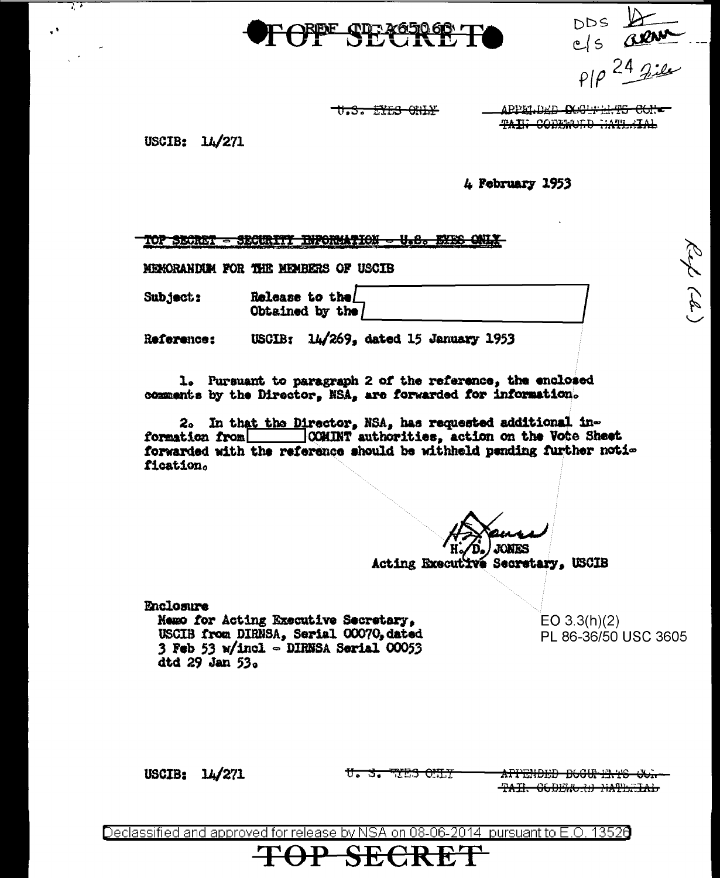



Rep (d)

U.S. EXE<del>S CHIX</del>

APPELDED OGGEFELTS COK-**TAIL CODEROLD HATLEIAL** 

USCIB:  $14/271$ 

73

4 February 1953

|  | Ababar one thing the II of the Auto                  |  |
|--|------------------------------------------------------|--|
|  | TOP SECRET - SECURILI INFORMATION - USES DIES WRIGHT |  |
|  |                                                      |  |

MEMORANDIM FOR THE MEMBERS OF USCIB

Subject:

Release to the Obtained by the

USCIB:  $14/269$ , dated 15 January 1953 Reference:

1. Pursuant to paragraph 2 of the reference, the enclosed comments by the Director, NSA, are forwarded for information.

2. In that the Director, NSA, has requested additional information from \_\_\_\_\_\_\_\_ | CCMINT authorities, action on the Vote Sheet forwarded with the reference should be withheld pending further notification.

**JONES** Acting Executive Secretary, USCIB

**Enclosure** Memo for Acting Executive Secretary, USCIB from DIRNSA, Serial 00070, dated 3 Feb 53  $w/$ incl  $\sim$  DIRNSA Serial 00053 dtd 29 Jan 53.

 $EO 3.3(h)(2)$ PL 86-36/50 USC 3605

USCIB:  $14/271$ 

U. S. WES OUT

**SECRI** 

APPENDED B66UP ENTS COM-TAIR CODERORD NATERIAL

Declassified and approved for release by NSA on 08-06-2014  $\,$  pursuant to E.O. 13526  $\,$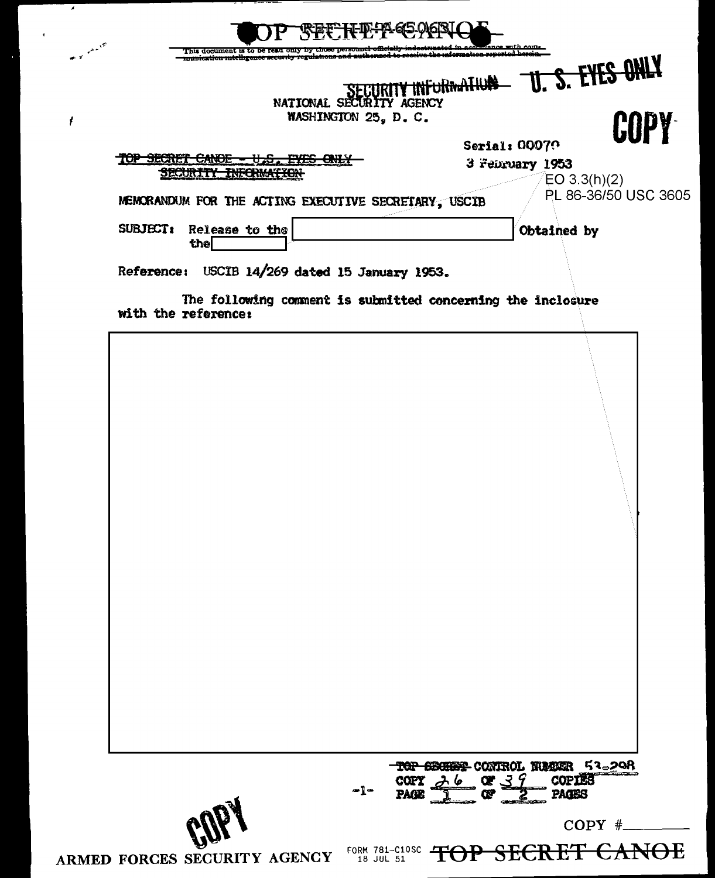|                                                                                        | munication mtelligence accurity regulations<br>NATIONAL SECURITY AGENCY<br>WASHINGTON 25, D. C. | <b>INFURNATION</b>               | <b>U. S. EYES ONLY</b>              |
|----------------------------------------------------------------------------------------|-------------------------------------------------------------------------------------------------|----------------------------------|-------------------------------------|
| TOP SECRET CANOE<br><del>U.S. PAS ONL</del><br><u> SECURITY INFORMATION</u>            |                                                                                                 | Serial: 00070<br>3 February 1953 | <b>COPY</b><br>EO 3.3(h)(2)         |
| MEMORANDUM FOR THE ACTING EXECUTIVE SECRETARY, USCIB<br>SUBJECT: Release to the<br>the |                                                                                                 |                                  | PL 86-36/50 USC 3605<br>Obtained by |
| The following comment is submitted concerning the inclosure<br>with the reference:     |                                                                                                 |                                  |                                     |
|                                                                                        |                                                                                                 |                                  |                                     |

 $\tilde{\mathbf{c}}$ 

ARMED FORCES SECURITY AGENCY FORM 781-C10SC TOP SECRET CANOE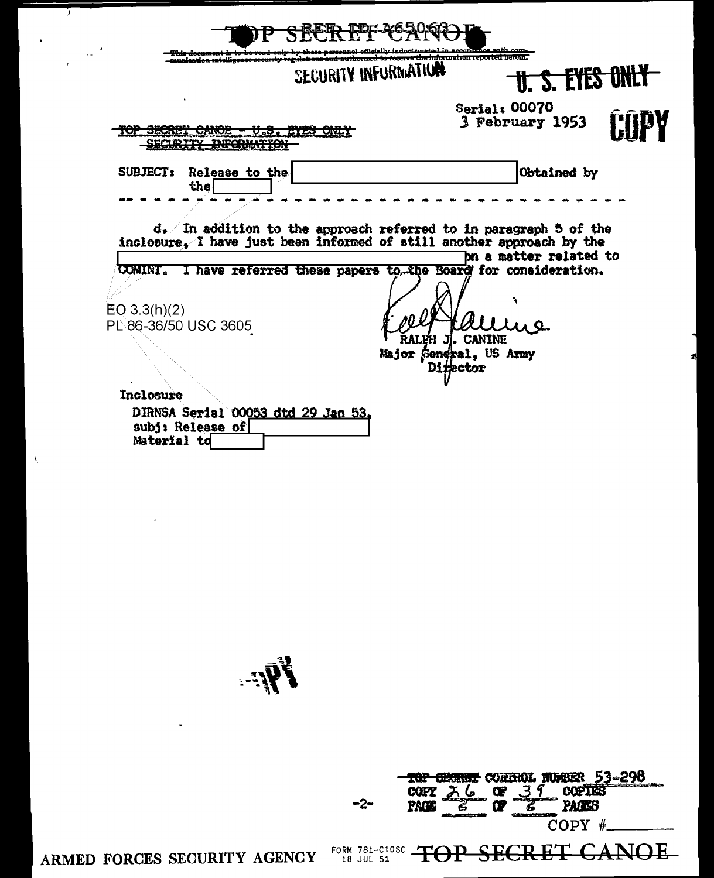| instinguntalligence secur         | SECURITY INFURNATION | cerve the information reported herein.<br><b>U. S. EYES ONL!</b>                                                                                                      |
|-----------------------------------|----------------------|-----------------------------------------------------------------------------------------------------------------------------------------------------------------------|
| TOP SECRET CANOE                  | V.S. EYES ONLY       | Serial: 00070<br>3 February 1953                                                                                                                                      |
| Release to the<br><b>SUBJECT:</b> |                      | Obtained by                                                                                                                                                           |
| the                               |                      | $d.$ In addition to the approach referred to in paragraph 5 of the<br>inclosure, I have just been informed of still another approach by the<br>bn a matter related to |
|                                   |                      | COMINT. I have referred these papers to the Board for consideration.                                                                                                  |
| EO 3.3(h)(2)                      |                      |                                                                                                                                                                       |
| PL 86-36/50 USC 3605              |                      |                                                                                                                                                                       |
|                                   |                      | RALPH J. CANINE<br>Major General, US Army                                                                                                                             |
|                                   |                      | Difector                                                                                                                                                              |

 $\mathbf{F}$ 



ARMED FORCES SECURITY AGENCY

Ù,

 $\Lambda_{\rm c}$